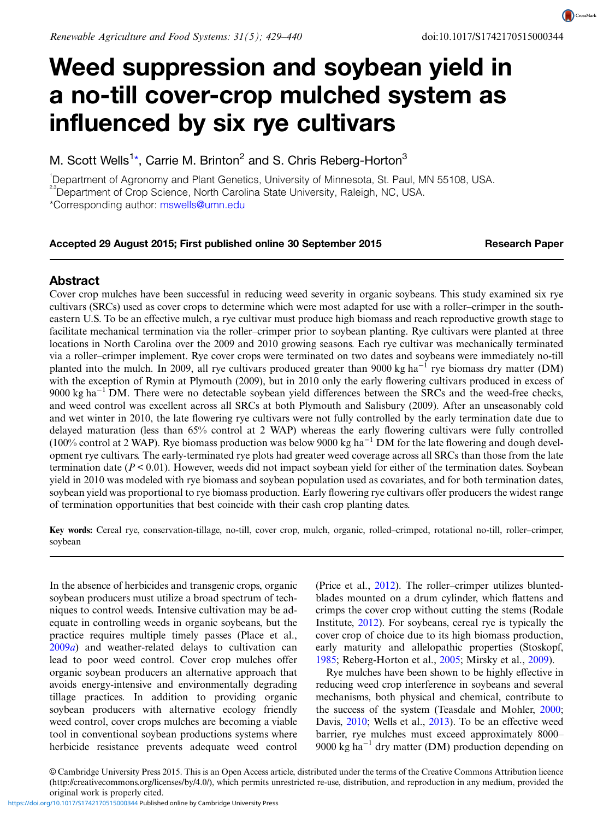CrossMark

# Weed suppression and soybean yield in a no-till cover-crop mulched system as influenced by six rye cultivars

M. Scott Wells<sup>1\*</sup>, Carrie M. Brinton<sup>2</sup> and S. Chris Reberg-Horton<sup>3</sup>

1 Department of Agronomy and Plant Genetics, University of Minnesota, St. Paul, MN 55108, USA. <sup>23</sup> Department of Crop Science, North Carolina State University, Raleigh, NC, USA. \*Corresponding author: [mswells@umn.edu](mailto:mswells@umn.edu)

Accepted 29 August 2015; First published online 30 September 2015 **Research Paper** Research Paper

## Abstract

Cover crop mulches have been successful in reducing weed severity in organic soybeans. This study examined six rye cultivars (SRCs) used as cover crops to determine which were most adapted for use with a roller–crimper in the southeastern U.S. To be an effective mulch, a rye cultivar must produce high biomass and reach reproductive growth stage to facilitate mechanical termination via the roller–crimper prior to soybean planting. Rye cultivars were planted at three locations in North Carolina over the 2009 and 2010 growing seasons. Each rye cultivar was mechanically terminated via a roller–crimper implement. Rye cover crops were terminated on two dates and soybeans were immediately no-till planted into the mulch. In 2009, all rye cultivars produced greater than 9000 kg ha<sup> $-1$ </sup> rye biomass dry matter (DM) with the exception of Rymin at Plymouth (2009), but in 2010 only the early flowering cultivars produced in excess of 9000 kg ha<sup>-1</sup> DM. There were no detectable soybean yield differences between the SRCs and the weed-free checks, and weed control was excellent across all SRCs at both Plymouth and Salisbury (2009). After an unseasonably cold and wet winter in 2010, the late flowering rye cultivars were not fully controlled by the early termination date due to delayed maturation (less than 65% control at 2 WAP) whereas the early flowering cultivars were fully controlled (100% control at 2 WAP). Rye biomass production was below 9000 kg ha−<sup>1</sup> DM for the late flowering and dough development rye cultivars. The early-terminated rye plots had greater weed coverage across all SRCs than those from the late termination date  $(P < 0.01)$ . However, weeds did not impact soybean yield for either of the termination dates. Soybean yield in 2010 was modeled with rye biomass and soybean population used as covariates, and for both termination dates, soybean yield was proportional to rye biomass production. Early flowering rye cultivars offer producers the widest range of termination opportunities that best coincide with their cash crop planting dates.

Key words: Cereal rye, conservation-tillage, no-till, cover crop, mulch, organic, rolled–crimped, rotational no-till, roller–crimper, soybean

In the absence of herbicides and transgenic crops, organic soybean producers must utilize a broad spectrum of techniques to control weeds. Intensive cultivation may be adequate in controlling weeds in organic soybeans, but the practice requires multiple timely passes (Place et al., [2009](#page-10-0)a) and weather-related delays to cultivation can lead to poor weed control. Cover crop mulches offer organic soybean producers an alternative approach that avoids energy-intensive and environmentally degrading tillage practices. In addition to providing organic soybean producers with alternative ecology friendly weed control, cover crops mulches are becoming a viable tool in conventional soybean productions systems where herbicide resistance prevents adequate weed control

(Price et al., [2012](#page-10-0)). The roller–crimper utilizes bluntedblades mounted on a drum cylinder, which flattens and crimps the cover crop without cutting the stems (Rodale Institute, [2012\)](#page-10-0). For soybeans, cereal rye is typically the cover crop of choice due to its high biomass production, early maturity and allelopathic properties (Stoskopf, [1985;](#page-11-0) Reberg-Horton et al., [2005;](#page-10-0) Mirsky et al., [2009\)](#page-10-0).

Rye mulches have been shown to be highly effective in reducing weed crop interference in soybeans and several mechanisms, both physical and chemical, contribute to the success of the system (Teasdale and Mohler, [2000](#page-11-0); Davis, [2010;](#page-10-0) Wells et al., [2013\)](#page-11-0). To be an effective weed barrier, rye mulches must exceed approximately 8000– 9000 kg ha<sup> $-1$ </sup> dry matter (DM) production depending on

© Cambridge University Press 2015. This is an Open Access article, distributed under the terms of the Creative Commons Attribution licence (http://creativecommons.org/licenses/by/4.0/), which permits unrestricted re-use, distribution, and reproduction in any medium, provided the original work is properly cited.

<https://doi.org/10.1017/S1742170515000344>Published online by Cambridge University Press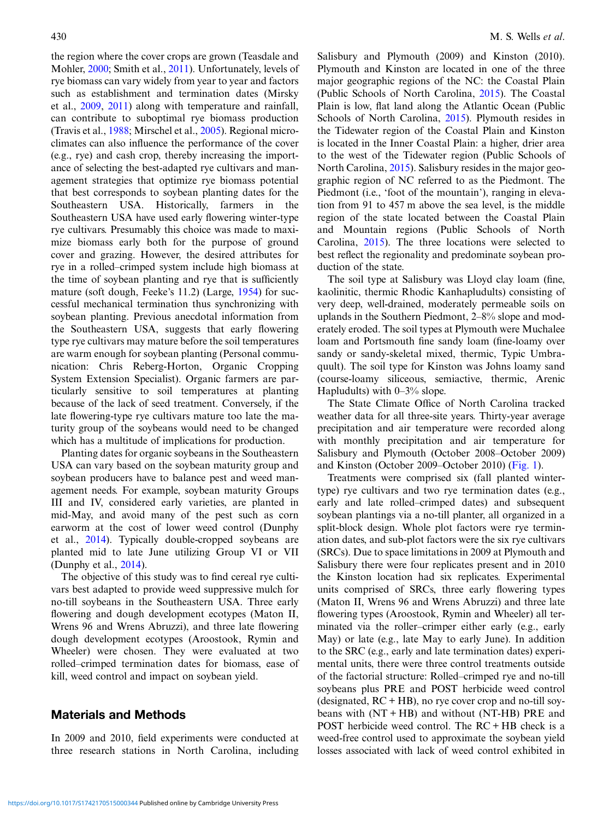the region where the cover crops are grown (Teasdale and Mohler, [2000](#page-11-0); Smith et al., [2011](#page-11-0)). Unfortunately, levels of rye biomass can vary widely from year to year and factors such as establishment and termination dates (Mirsky et al., [2009,](#page-10-0) [2011\)](#page-10-0) along with temperature and rainfall, can contribute to suboptimal rye biomass production (Travis et al., [1988](#page-11-0); Mirschel et al., [2005\)](#page-10-0). Regional microclimates can also influence the performance of the cover (e.g., rye) and cash crop, thereby increasing the importance of selecting the best-adapted rye cultivars and management strategies that optimize rye biomass potential that best corresponds to soybean planting dates for the Southeastern USA. Historically, farmers in the Southeastern USA have used early flowering winter-type rye cultivars. Presumably this choice was made to maximize biomass early both for the purpose of ground cover and grazing. However, the desired attributes for rye in a rolled–crimped system include high biomass at the time of soybean planting and rye that is sufficiently mature (soft dough, Feeke's 11.2) (Large, [1954](#page-10-0)) for successful mechanical termination thus synchronizing with soybean planting. Previous anecdotal information from the Southeastern USA, suggests that early flowering type rye cultivars may mature before the soil temperatures are warm enough for soybean planting (Personal communication: Chris Reberg-Horton, Organic Cropping System Extension Specialist). Organic farmers are particularly sensitive to soil temperatures at planting because of the lack of seed treatment. Conversely, if the late flowering-type rye cultivars mature too late the maturity group of the soybeans would need to be changed which has a multitude of implications for production.

Planting dates for organic soybeans in the Southeastern USA can vary based on the soybean maturity group and soybean producers have to balance pest and weed management needs. For example, soybean maturity Groups III and IV, considered early varieties, are planted in mid-May, and avoid many of the pest such as corn earworm at the cost of lower weed control (Dunphy et al., [2014\)](#page-10-0). Typically double-cropped soybeans are planted mid to late June utilizing Group VI or VII (Dunphy et al., [2014\)](#page-10-0).

The objective of this study was to find cereal rye cultivars best adapted to provide weed suppressive mulch for no-till soybeans in the Southeastern USA. Three early flowering and dough development ecotypes (Maton II, Wrens 96 and Wrens Abruzzi), and three late flowering dough development ecotypes (Aroostook, Rymin and Wheeler) were chosen. They were evaluated at two rolled–crimped termination dates for biomass, ease of kill, weed control and impact on soybean yield.

## Materials and Methods

In 2009 and 2010, field experiments were conducted at three research stations in North Carolina, including Salisbury and Plymouth (2009) and Kinston (2010). Plymouth and Kinston are located in one of the three major geographic regions of the NC: the Coastal Plain (Public Schools of North Carolina, [2015](#page-10-0)). The Coastal Plain is low, flat land along the Atlantic Ocean (Public Schools of North Carolina, [2015](#page-10-0)). Plymouth resides in the Tidewater region of the Coastal Plain and Kinston is located in the Inner Coastal Plain: a higher, drier area to the west of the Tidewater region (Public Schools of North Carolina, [2015](#page-10-0)). Salisbury resides in the major geographic region of NC referred to as the Piedmont. The Piedmont (i.e., 'foot of the mountain'), ranging in elevation from 91 to 457 m above the sea level, is the middle region of the state located between the Coastal Plain and Mountain regions (Public Schools of North Carolina, [2015\)](#page-10-0). The three locations were selected to best reflect the regionality and predominate soybean production of the state.

The soil type at Salisbury was Lloyd clay loam (fine, kaolinitic, thermic Rhodic Kanhapludults) consisting of very deep, well-drained, moderately permeable soils on uplands in the Southern Piedmont, 2–8% slope and moderately eroded. The soil types at Plymouth were Muchalee loam and Portsmouth fine sandy loam (fine-loamy over sandy or sandy-skeletal mixed, thermic, Typic Umbraquult). The soil type for Kinston was Johns loamy sand (course-loamy siliceous, semiactive, thermic, Arenic Hapludults) with 0–3% slope.

The State Climate Office of North Carolina tracked weather data for all three-site years. Thirty-year average precipitation and air temperature were recorded along with monthly precipitation and air temperature for Salisbury and Plymouth (October 2008–October 2009) and Kinston (October 2009–October 2010) ([Fig. 1\)](#page-2-0).

Treatments were comprised six (fall planted wintertype) rye cultivars and two rye termination dates (e.g., early and late rolled–crimped dates) and subsequent soybean plantings via a no-till planter, all organized in a split-block design. Whole plot factors were rye termination dates, and sub-plot factors were the six rye cultivars (SRCs). Due to space limitations in 2009 at Plymouth and Salisbury there were four replicates present and in 2010 the Kinston location had six replicates. Experimental units comprised of SRCs, three early flowering types (Maton II, Wrens 96 and Wrens Abruzzi) and three late flowering types (Aroostook, Rymin and Wheeler) all terminated via the roller–crimper either early (e.g., early May) or late (e.g., late May to early June). In addition to the SRC (e.g., early and late termination dates) experimental units, there were three control treatments outside of the factorial structure: Rolled–crimped rye and no-till soybeans plus PRE and POST herbicide weed control (designated,  $RC + HB$ ), no rye cover crop and no-till soybeans with (NT + HB) and without (NT-HB) PRE and POST herbicide weed control. The RC + HB check is a weed-free control used to approximate the soybean yield losses associated with lack of weed control exhibited in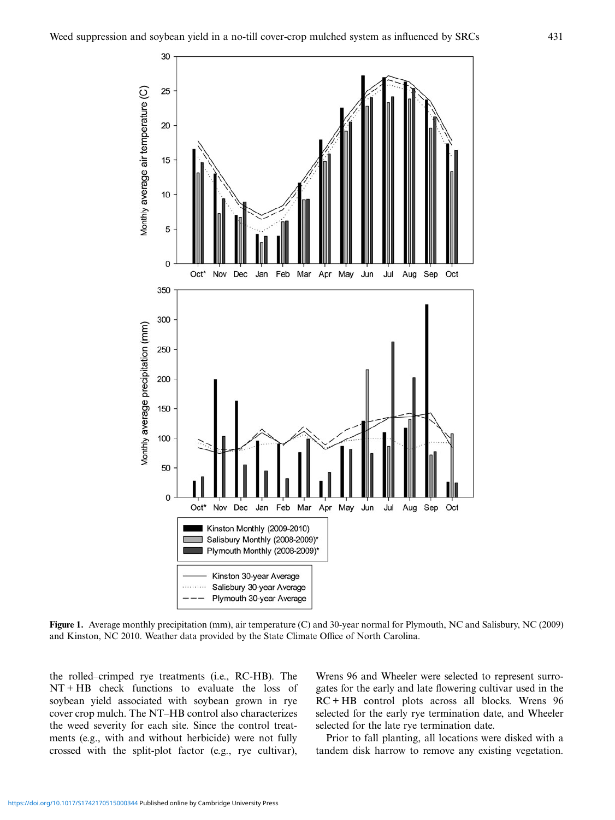<span id="page-2-0"></span>

Figure 1. Average monthly precipitation (mm), air temperature (C) and 30-year normal for Plymouth, NC and Salisbury, NC (2009) and Kinston, NC 2010. Weather data provided by the State Climate Office of North Carolina.

the rolled–crimped rye treatments (i.e., RC-HB). The NT + HB check functions to evaluate the loss of soybean yield associated with soybean grown in rye cover crop mulch. The NT–HB control also characterizes the weed severity for each site. Since the control treatments (e.g., with and without herbicide) were not fully crossed with the split-plot factor (e.g., rye cultivar), Wrens 96 and Wheeler were selected to represent surrogates for the early and late flowering cultivar used in the RC + HB control plots across all blocks. Wrens 96 selected for the early rye termination date, and Wheeler selected for the late rye termination date.

Prior to fall planting, all locations were disked with a tandem disk harrow to remove any existing vegetation.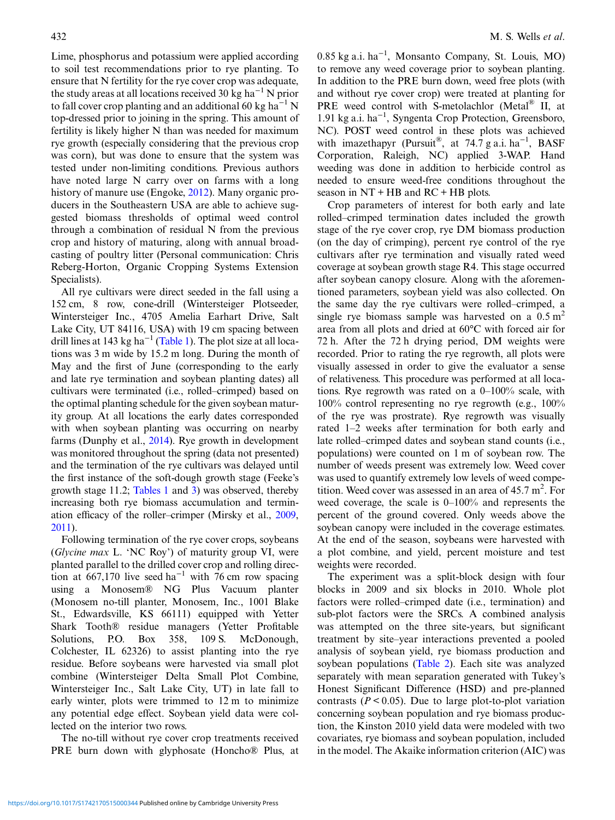Lime, phosphorus and potassium were applied according to soil test recommendations prior to rye planting. To ensure that N fertility for the rye cover crop was adequate, the study areas at all locations received 30 kg ha<sup>-1</sup> N prior to fall cover crop planting and an additional 60 kg ha<sup>-1</sup> N top-dressed prior to joining in the spring. This amount of fertility is likely higher N than was needed for maximum rye growth (especially considering that the previous crop was corn), but was done to ensure that the system was tested under non-limiting conditions. Previous authors have noted large N carry over on farms with a long history of manure use (Engoke, [2012](#page-10-0)). Many organic producers in the Southeastern USA are able to achieve suggested biomass thresholds of optimal weed control through a combination of residual N from the previous crop and history of maturing, along with annual broadcasting of poultry litter (Personal communication: Chris Reberg-Horton, Organic Cropping Systems Extension Specialists).

All rye cultivars were direct seeded in the fall using a 152 cm, 8 row, cone-drill (Wintersteiger Plotseeder, Wintersteiger Inc., 4705 Amelia Earhart Drive, Salt Lake City, UT 84116, USA) with 19 cm spacing between drill lines at 143 kg ha<sup>-1</sup> [\(Table 1\)](#page-4-0). The plot size at all locations was 3 m wide by 15.2 m long. During the month of May and the first of June (corresponding to the early and late rye termination and soybean planting dates) all cultivars were terminated (i.e., rolled–crimped) based on the optimal planting schedule for the given soybean maturity group. At all locations the early dates corresponded with when soybean planting was occurring on nearby farms (Dunphy et al., [2014\)](#page-10-0). Rye growth in development was monitored throughout the spring (data not presented) and the termination of the rye cultivars was delayed until the first instance of the soft-dough growth stage (Feeke's growth stage 11.2; [Tables 1](#page-4-0) and [3](#page-5-0)) was observed, thereby increasing both rye biomass accumulation and termination efficacy of the roller–crimper (Mirsky et al., [2009,](#page-10-0) [2011](#page-10-0)).

Following termination of the rye cover crops, soybeans (Glycine max L. 'NC Roy') of maturity group VI, were planted parallel to the drilled cover crop and rolling direction at 667,170 live seed ha<sup>-1</sup> with 76 cm row spacing using a Monosem® NG Plus Vacuum planter (Monosem no-till planter, Monosem, Inc., 1001 Blake St., Edwardsville, KS 66111) equipped with Yetter Shark Tooth® residue managers (Yetter Profitable Solutions, P.O. Box 358, 109 S. McDonough, Colchester, IL 62326) to assist planting into the rye residue. Before soybeans were harvested via small plot combine (Wintersteiger Delta Small Plot Combine, Wintersteiger Inc., Salt Lake City, UT) in late fall to early winter, plots were trimmed to 12 m to minimize any potential edge effect. Soybean yield data were collected on the interior two rows.

The no-till without rye cover crop treatments received PRE burn down with glyphosate (Honcho® Plus, at 0.85 kg a.i. ha−<sup>1</sup> , Monsanto Company, St. Louis, MO) to remove any weed coverage prior to soybean planting. In addition to the PRE burn down, weed free plots (with and without rye cover crop) were treated at planting for PRE weed control with S-metolachlor (Metal<sup>®</sup> II, at 1.91 kg a.i. ha−<sup>1</sup> , Syngenta Crop Protection, Greensboro, NC). POST weed control in these plots was achieved with imazethapyr (Pursuit®, at  $74.7$  g a.i. ha<sup>-1</sup>, BASF Corporation, Raleigh, NC) applied 3-WAP. Hand weeding was done in addition to herbicide control as needed to ensure weed-free conditions throughout the season in  $NT + HB$  and  $RC + HB$  plots.

Crop parameters of interest for both early and late rolled–crimped termination dates included the growth stage of the rye cover crop, rye DM biomass production (on the day of crimping), percent rye control of the rye cultivars after rye termination and visually rated weed coverage at soybean growth stage R4. This stage occurred after soybean canopy closure. Along with the aforementioned parameters, soybean yield was also collected. On the same day the rye cultivars were rolled–crimped, a single rye biomass sample was harvested on a  $0.5 \text{ m}^2$ area from all plots and dried at 60°C with forced air for 72 h. After the 72 h drying period, DM weights were recorded. Prior to rating the rye regrowth, all plots were visually assessed in order to give the evaluator a sense of relativeness. This procedure was performed at all locations. Rye regrowth was rated on a 0–100% scale, with 100% control representing no rye regrowth (e.g., 100% of the rye was prostrate). Rye regrowth was visually rated 1–2 weeks after termination for both early and late rolled–crimped dates and soybean stand counts (i.e., populations) were counted on 1 m of soybean row. The number of weeds present was extremely low. Weed cover was used to quantify extremely low levels of weed competition. Weed cover was assessed in an area of  $45.7 \text{ m}^2$ . For weed coverage, the scale is 0–100% and represents the percent of the ground covered. Only weeds above the soybean canopy were included in the coverage estimates. At the end of the season, soybeans were harvested with a plot combine, and yield, percent moisture and test weights were recorded.

The experiment was a split-block design with four blocks in 2009 and six blocks in 2010. Whole plot factors were rolled–crimped date (i.e., termination) and sub-plot factors were the SRCs. A combined analysis was attempted on the three site-years, but significant treatment by site–year interactions prevented a pooled analysis of soybean yield, rye biomass production and soybean populations [\(Table 2](#page-4-0)). Each site was analyzed separately with mean separation generated with Tukey's Honest Significant Difference (HSD) and pre-planned contrasts ( $P < 0.05$ ). Due to large plot-to-plot variation concerning soybean population and rye biomass production, the Kinston 2010 yield data were modeled with two covariates, rye biomass and soybean population, included in the model. The Akaike information criterion (AIC) was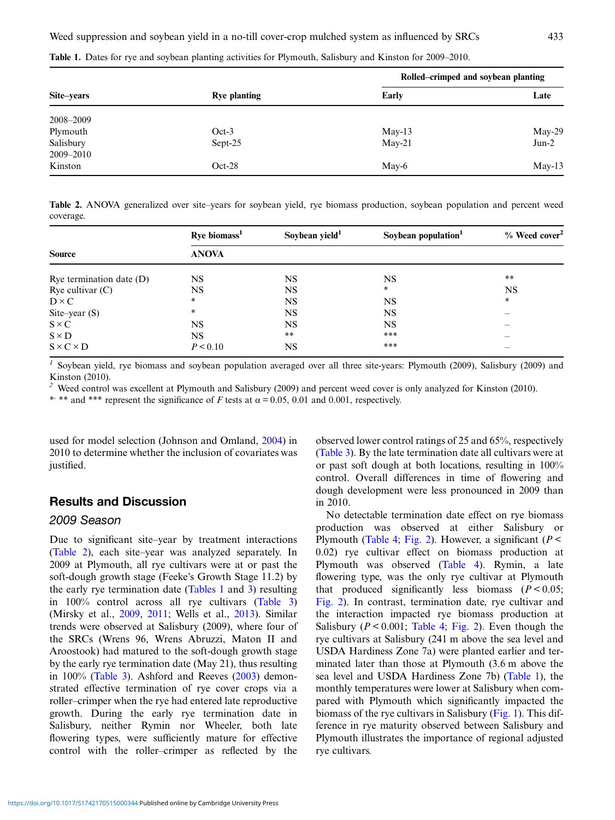|            |                     | Rolled–crimped and soybean planting |          |  |
|------------|---------------------|-------------------------------------|----------|--|
| Site-years | <b>Rye</b> planting | Early                               | Late     |  |
| 2008-2009  |                     |                                     |          |  |
| Plymouth   | $Oct-3$             | May-13                              | $May-29$ |  |
| Salisbury  | Sept-25             | $Mav-21$                            | $Jun-2$  |  |
| 2009-2010  |                     |                                     |          |  |
| Kinston    | $Oct-28$            | May- $6$                            | $Mav-13$ |  |

<span id="page-4-0"></span>Table 1. Dates for rye and soybean planting activities for Plymouth, Salisbury and Kinston for 2009–2010.

Table 2. ANOVA generalized over site–years for soybean yield, rye biomass production, soybean population and percent weed coverage.

|                            | $Rye \; 1$   | Soybean yield $1$ | Soybean population <sup>1</sup> | $\%$ Weed cover <sup>2</sup> |  |  |  |
|----------------------------|--------------|-------------------|---------------------------------|------------------------------|--|--|--|
| <b>Source</b>              | <b>ANOVA</b> |                   |                                 |                              |  |  |  |
| Rye termination date $(D)$ | NS           | <b>NS</b>         | NS                              | **                           |  |  |  |
| Rye cultivar $(C)$         | NS           | <b>NS</b>         | $*$                             | NS.                          |  |  |  |
| $D \times C$               | $\ast$       | <b>NS</b>         | <b>NS</b>                       | $\ast$                       |  |  |  |
| Site-year $(S)$            | *            | <b>NS</b>         | NS                              |                              |  |  |  |
| $S \times C$               | NS           | <b>NS</b>         | <b>NS</b>                       |                              |  |  |  |
| $S \times D$               | NS           | **                | ***                             |                              |  |  |  |
| $S \times C \times D$      | P < 0.10     | <b>NS</b>         | ***                             |                              |  |  |  |

<sup>1</sup> Soybean yield, rye biomass and soybean population averaged over all three site-years: Plymouth (2009), Salisbury (2009) and Kinston (2010).

<sup>2</sup> Weed control was excellent at Plymouth and Salisbury (2009) and percent weed cover is only analyzed for Kinston (2010).

\*, \*\* and \*\*\* represent the significance of F tests at  $\alpha$  = 0.05, 0.01 and 0.001, respectively.

used for model selection (Johnson and Omland, [2004\)](#page-10-0) in 2010 to determine whether the inclusion of covariates was justified.

## Results and Discussion

#### 2009 Season

Due to significant site–year by treatment interactions (Table 2), each site–year was analyzed separately. In 2009 at Plymouth, all rye cultivars were at or past the soft-dough growth stage (Feeke's Growth Stage 11.2) by the early rye termination date (Tables 1 and [3\)](#page-5-0) resulting in 100% control across all rye cultivars [\(Table 3\)](#page-5-0) (Mirsky et al., [2009,](#page-10-0) [2011;](#page-10-0) Wells et al., [2013\)](#page-11-0). Similar trends were observed at Salisbury (2009), where four of the SRCs (Wrens 96, Wrens Abruzzi, Maton II and Aroostook) had matured to the soft-dough growth stage by the early rye termination date (May 21), thus resulting in 100% ([Table 3](#page-5-0)). Ashford and Reeves [\(2003](#page-10-0)) demonstrated effective termination of rye cover crops via a roller–crimper when the rye had entered late reproductive growth. During the early rye termination date in Salisbury, neither Rymin nor Wheeler, both late flowering types, were sufficiently mature for effective control with the roller–crimper as reflected by the

observed lower control ratings of 25 and 65%, respectively [\(Table 3](#page-5-0)). By the late termination date all cultivars were at or past soft dough at both locations, resulting in 100% control. Overall differences in time of flowering and dough development were less pronounced in 2009 than in 2010.

No detectable termination date effect on rye biomass production was observed at either Salisbury or Plymouth ([Table 4](#page-5-0); [Fig. 2](#page-6-0)). However, a significant ( $P \leq$ 0.02) rye cultivar effect on biomass production at Plymouth was observed [\(Table 4](#page-5-0)). Rymin, a late flowering type, was the only rye cultivar at Plymouth that produced significantly less biomass  $(P < 0.05$ ; [Fig. 2](#page-6-0)). In contrast, termination date, rye cultivar and the interaction impacted rye biomass production at Salisbury ( $P < 0.001$ ; [Table 4;](#page-5-0) [Fig. 2\)](#page-6-0). Even though the rye cultivars at Salisbury (241 m above the sea level and USDA Hardiness Zone 7a) were planted earlier and terminated later than those at Plymouth (3.6 m above the sea level and USDA Hardiness Zone 7b) (Table 1), the monthly temperatures were lower at Salisbury when compared with Plymouth which significantly impacted the biomass of the rye cultivars in Salisbury ([Fig. 1](#page-2-0)). This difference in rye maturity observed between Salisbury and Plymouth illustrates the importance of regional adjusted rye cultivars.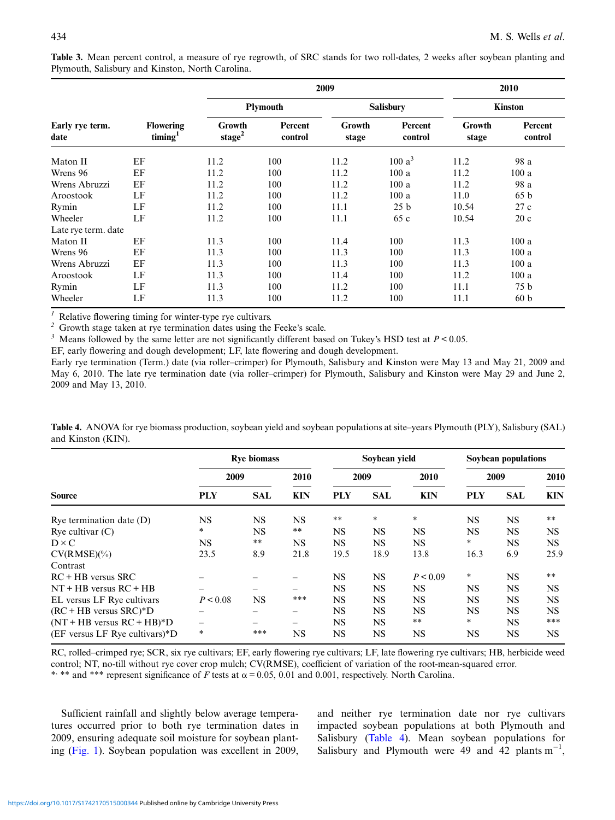<span id="page-5-0"></span>

| Table 3. Mean percent control, a measure of rye regrowth, of SRC stands for two roll-dates, 2 weeks after soybean planting and |  |  |
|--------------------------------------------------------------------------------------------------------------------------------|--|--|
| Plymouth, Salisbury and Kinston, North Carolina.                                                                               |  |  |

|                         |                                         |                        | 2009               |                  |                    |                 | 2010               |  |
|-------------------------|-----------------------------------------|------------------------|--------------------|------------------|--------------------|-----------------|--------------------|--|
|                         |                                         | <b>Plymouth</b>        |                    | <b>Salisbury</b> |                    | <b>Kinston</b>  |                    |  |
| Early rye term.<br>date | <b>Flowering</b><br>timing <sup>1</sup> | Growth<br>stage $^{2}$ | Percent<br>control | Growth<br>stage  | Percent<br>control | Growth<br>stage | Percent<br>control |  |
| Maton II                | EF                                      | 11.2                   | 100                | 11.2             | 100a <sup>3</sup>  | 11.2            | 98 a               |  |
| Wrens 96                | EF                                      | 11.2                   | 100                | 11.2             | 100a               | 11.2            | 100a               |  |
| Wrens Abruzzi           | EF                                      | 11.2                   | 100                | 11.2             | 100a               | 11.2            | 98 a               |  |
| Aroostook               | LF                                      | 11.2                   | 100                | 11.2             | 100a               | 11.0            | 65b                |  |
| Rymin                   | LF                                      | 11.2                   | 100                | 11.1             | 25 <sub>b</sub>    | 10.54           | 27c                |  |
| Wheeler                 | LF                                      | 11.2                   | 100                | 11.1             | 65c                | 10.54           | 20c                |  |
| Late rye term. date     |                                         |                        |                    |                  |                    |                 |                    |  |
| Maton II                | EF                                      | 11.3                   | 100                | 11.4             | 100                | 11.3            | 100a               |  |
| Wrens 96                | EF                                      | 11.3                   | 100                | 11.3             | 100                | 11.3            | 100a               |  |
| Wrens Abruzzi           | EF                                      | 11.3                   | 100                | 11.3             | 100                | 11.3            | 100a               |  |
| Aroostook               | LF                                      | 11.3                   | 100                | 11.4             | 100                | 11.2            | 100a               |  |
| Rymin                   | LF                                      | 11.3                   | 100                | 11.2             | 100                | 11.1            | 75 <sub>b</sub>    |  |
| Wheeler                 | LF                                      | 11.3                   | 100                | 11.2             | 100                | 11.1            | 60 <sub>b</sub>    |  |

<sup>1</sup> Relative flowering timing for winter-type rye cultivars.<br><sup>2</sup> Growth stage taken at rye termination dates using the Feeke's scale.<br><sup>3</sup> Means followed by the same letter are not significantly different based on Tukey's

EF, early flowering and dough development; LF, late flowering and dough development.

Early rye termination (Term.) date (via roller–crimper) for Plymouth, Salisbury and Kinston were May 13 and May 21, 2009 and May 6, 2010. The late rye termination date (via roller–crimper) for Plymouth, Salisbury and Kinston were May 29 and June 2, 2009 and May 13, 2010.

| Table 4. ANOVA for rye biomass production, soybean yield and soybean populations at site-years Plymouth (PLY), Salisbury (SAL) |  |
|--------------------------------------------------------------------------------------------------------------------------------|--|
| and Kinston (KIN).                                                                                                             |  |

|                                            | <b>Rve biomass</b><br>2009<br>2010 |            | Soybean yield |            |            | Soybean populations |            |            |            |
|--------------------------------------------|------------------------------------|------------|---------------|------------|------------|---------------------|------------|------------|------------|
|                                            |                                    |            |               | 2009       |            | 2010                | 2009       |            | 2010       |
| <b>Source</b>                              | <b>PLY</b>                         | <b>SAL</b> | <b>KIN</b>    | <b>PLY</b> | <b>SAL</b> | <b>KIN</b>          | <b>PLY</b> | <b>SAL</b> | <b>KIN</b> |
| Rye termination date $(D)$                 | <b>NS</b>                          | <b>NS</b>  | <b>NS</b>     | $***$      | $\ast$     | $\ast$              | <b>NS</b>  | <b>NS</b>  | $\ast\ast$ |
| Rye cultivar $(C)$                         | $\ast$                             | NS.        | $***$         | <b>NS</b>  | <b>NS</b>  | <b>NS</b>           | <b>NS</b>  | <b>NS</b>  | <b>NS</b>  |
| $D \times C$                               | NS.                                | **         | <b>NS</b>     | <b>NS</b>  | <b>NS</b>  | <b>NS</b>           | $\ast$     | <b>NS</b>  | <b>NS</b>  |
| $CV(RMSE)(\%)$                             | 23.5                               | 8.9        | 21.8          | 19.5       | 18.9       | 13.8                | 16.3       | 6.9        | 25.9       |
| Contrast                                   |                                    |            |               |            |            |                     |            |            |            |
| $RC + HB$ versus $SRC$                     |                                    |            |               | <b>NS</b>  | <b>NS</b>  | P < 0.09            | $\ast$     | <b>NS</b>  | $\ast\ast$ |
| $NT + HB$ versus $RC + HB$                 |                                    |            |               | <b>NS</b>  | <b>NS</b>  | <b>NS</b>           | <b>NS</b>  | <b>NS</b>  | <b>NS</b>  |
| EL versus LF Rye cultivars                 | P < 0.08                           | NS         | ***           | <b>NS</b>  | <b>NS</b>  | <b>NS</b>           | <b>NS</b>  | <b>NS</b>  | <b>NS</b>  |
| $(RC + HB$ versus $SRC$ <sup>*</sup> D     |                                    |            |               | <b>NS</b>  | <b>NS</b>  | <b>NS</b>           | <b>NS</b>  | <b>NS</b>  | <b>NS</b>  |
| $(NT + HB$ versus $RC + HB$ <sup>*</sup> D |                                    |            |               | <b>NS</b>  | <b>NS</b>  | $***$               | $\ast$     | <b>NS</b>  | ***        |
| (EF versus LF Rye cultivars)*D             | $\ast$                             | ***        | <b>NS</b>     | <b>NS</b>  | <b>NS</b>  | <b>NS</b>           | <b>NS</b>  | <b>NS</b>  | <b>NS</b>  |

RC, rolled–crimped rye; SCR, six rye cultivars; EF, early flowering rye cultivars; LF, late flowering rye cultivars; HB, herbicide weed control; NT, no-till without rye cover crop mulch; CV(RMSE), coefficient of variation of the root-mean-squared error. \*, \*\* and \*\*\* represent significance of F tests at  $\alpha$  = 0.05, 0.01 and 0.001, respectively. North Carolina.

Sufficient rainfall and slightly below average temperatures occurred prior to both rye termination dates in 2009, ensuring adequate soil moisture for soybean planting ([Fig. 1\)](#page-2-0). Soybean population was excellent in 2009, and neither rye termination date nor rye cultivars impacted soybean populations at both Plymouth and Salisbury (Table 4). Mean soybean populations for Salisbury and Plymouth were 49 and 42 plants  $m^{-1}$ ,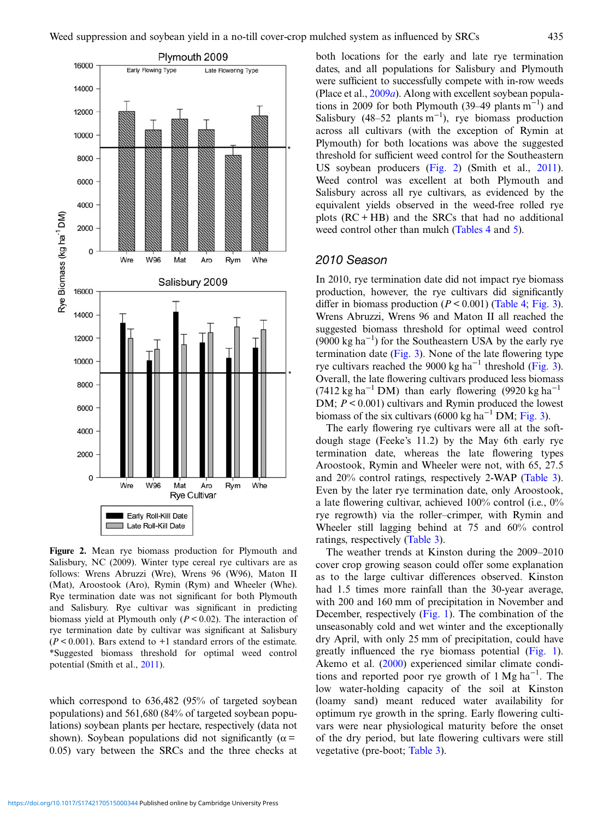<span id="page-6-0"></span>

Figure 2. Mean rye biomass production for Plymouth and Salisbury, NC (2009). Winter type cereal rye cultivars are as follows: Wrens Abruzzi (Wre), Wrens 96 (W96), Maton II (Mat), Aroostook (Aro), Rymin (Rym) and Wheeler (Whe). Rye termination date was not significant for both Plymouth and Salisbury. Rye cultivar was significant in predicting biomass yield at Plymouth only  $(P < 0.02)$ . The interaction of rye termination date by cultivar was significant at Salisbury  $(P < 0.001)$ . Bars extend to +1 standard errors of the estimate. \*Suggested biomass threshold for optimal weed control potential (Smith et al., [2011](#page-11-0)).

which correspond to 636,482 (95% of targeted soybean populations) and 561,680 (84% of targeted soybean populations) soybean plants per hectare, respectively (data not shown). Soybean populations did not significantly ( $\alpha$  = 0.05) vary between the SRCs and the three checks at both locations for the early and late rye termination dates, and all populations for Salisbury and Plymouth were sufficient to successfully compete with in-row weeds (Place et al., [2009](#page-10-0)a). Along with excellent soybean populations in 2009 for both Plymouth  $(39-49 \text{ plants m}^{-1})$  and Salisbury (48–52 plants  $m^{-1}$ ), rye biomass production across all cultivars (with the exception of Rymin at Plymouth) for both locations was above the suggested threshold for sufficient weed control for the Southeastern US soybean producers (Fig. 2) (Smith et al., [2011](#page-11-0)). Weed control was excellent at both Plymouth and Salisbury across all rye cultivars, as evidenced by the equivalent yields observed in the weed-free rolled rye plots  $(RC + HB)$  and the SRCs that had no additional weed control other than mulch [\(Tables 4](#page-5-0) and [5](#page-7-0)).

#### 2010 Season

In 2010, rye termination date did not impact rye biomass production, however, the rye cultivars did significantly differ in biomass production ( $P \le 0.001$ ) [\(Table 4;](#page-5-0) [Fig. 3](#page-7-0)). Wrens Abruzzi, Wrens 96 and Maton II all reached the suggested biomass threshold for optimal weed control (9000 kg ha−<sup>1</sup> ) for the Southeastern USA by the early rye termination date [\(Fig. 3](#page-7-0)). None of the late flowering type rye cultivars reached the 9000 kg ha<sup> $-1$ </sup> threshold ([Fig. 3](#page-7-0)). Overall, the late flowering cultivars produced less biomass  $(7412 \text{ kg ha}^{-1} \text{ DM})$  than early flowering  $(9920 \text{ kg ha}^{-1})$ DM;  $P \leq 0.001$ ) cultivars and Rymin produced the lowest biomass of the six cultivars (6000 kg ha<sup>-1</sup> DM; [Fig. 3\)](#page-7-0).

The early flowering rye cultivars were all at the softdough stage (Feeke's 11.2) by the May 6th early rye termination date, whereas the late flowering types Aroostook, Rymin and Wheeler were not, with 65, 27.5 and 20% control ratings, respectively 2-WAP ([Table 3\)](#page-5-0). Even by the later rye termination date, only Aroostook, a late flowering cultivar, achieved 100% control (i.e., 0% rye regrowth) via the roller–crimper, with Rymin and Wheeler still lagging behind at 75 and 60% control ratings, respectively ([Table 3\)](#page-5-0).

The weather trends at Kinston during the 2009–2010 cover crop growing season could offer some explanation as to the large cultivar differences observed. Kinston had 1.5 times more rainfall than the 30-year average, with 200 and 160 mm of precipitation in November and December, respectively [\(Fig. 1](#page-2-0)). The combination of the unseasonably cold and wet winter and the exceptionally dry April, with only 25 mm of precipitation, could have greatly influenced the rye biomass potential [\(Fig. 1\)](#page-2-0). Akemo et al. ([2000\)](#page-10-0) experienced similar climate conditions and reported poor rye growth of  $1 \text{ Mg ha}^{-1}$ . The low water-holding capacity of the soil at Kinston (loamy sand) meant reduced water availability for optimum rye growth in the spring. Early flowering cultivars were near physiological maturity before the onset of the dry period, but late flowering cultivars were still vegetative (pre-boot; [Table 3\)](#page-5-0).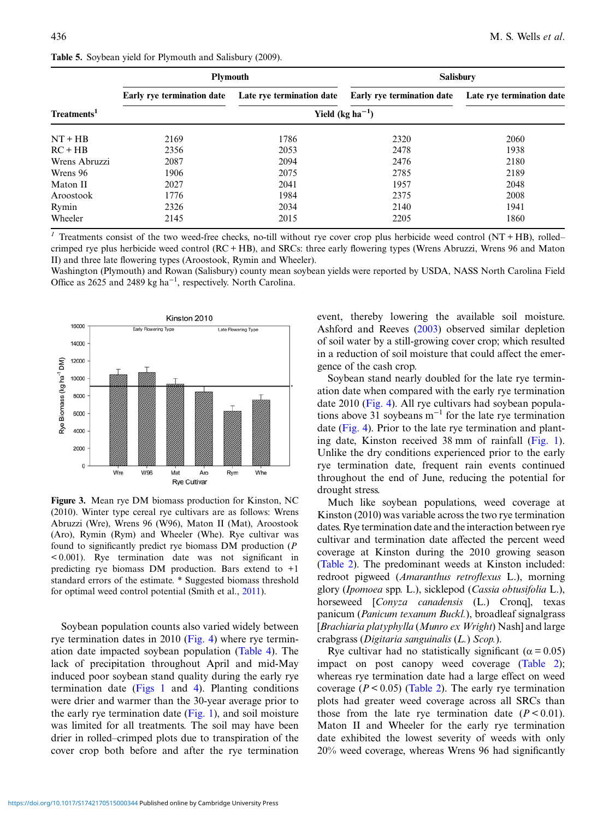<span id="page-7-0"></span>

|  |  |  | Table 5. Soybean yield for Plymouth and Salisbury (2009). |  |  |  |
|--|--|--|-----------------------------------------------------------|--|--|--|
|--|--|--|-----------------------------------------------------------|--|--|--|

|                         | <b>Plymouth</b>                   |                           | <b>Salisbury</b>           |                           |  |
|-------------------------|-----------------------------------|---------------------------|----------------------------|---------------------------|--|
|                         | <b>Early rye termination date</b> | Late rye termination date | Early rye termination date | Late rye termination date |  |
| Treatments <sup>1</sup> |                                   | Yield $(kg ha^{-1})$      |                            |                           |  |
| $NT + HB$               | 2169                              | 1786                      | 2320                       | 2060                      |  |
| $RC + HB$               | 2356                              | 2053                      | 2478                       | 1938                      |  |
| Wrens Abruzzi           | 2087                              | 2094                      | 2476                       | 2180                      |  |
| Wrens 96                | 1906                              | 2075                      | 2785                       | 2189                      |  |
| Maton II                | 2027                              | 2041                      | 1957                       | 2048                      |  |
| Aroostook               | 1776                              | 1984                      | 2375                       | 2008                      |  |
| Rymin                   | 2326                              | 2034                      | 2140                       | 1941                      |  |
| Wheeler                 | 2145                              | 2015                      | 2205                       | 1860                      |  |

 $1$  Treatments consist of the two weed-free checks, no-till without rye cover crop plus herbicide weed control (NT + HB), rolled– crimped rye plus herbicide weed control (RC + HB), and SRCs: three early flowering types (Wrens Abruzzi, Wrens 96 and Maton II) and three late flowering types (Aroostook, Rymin and Wheeler).

Washington (Plymouth) and Rowan (Salisbury) county mean soybean yields were reported by USDA, NASS North Carolina Field Office as 2625 and 2489 kg ha<sup>-1</sup>, respectively. North Carolina.



Figure 3. Mean rye DM biomass production for Kinston, NC (2010). Winter type cereal rye cultivars are as follows: Wrens Abruzzi (Wre), Wrens 96 (W96), Maton II (Mat), Aroostook (Aro), Rymin (Rym) and Wheeler (Whe). Rye cultivar was found to significantly predict rye biomass DM production (P < 0.001). Rye termination date was not significant in predicting rye biomass DM production. Bars extend to +1 standard errors of the estimate. \* Suggested biomass threshold for optimal weed control potential (Smith et al., [2011\)](#page-11-0).

Soybean population counts also varied widely between rye termination dates in 2010 ([Fig. 4](#page-8-0)) where rye termination date impacted soybean population ([Table 4\)](#page-5-0). The lack of precipitation throughout April and mid-May induced poor soybean stand quality during the early rye termination date  $(Figs 1$  and [4\)](#page-8-0). Planting conditions were drier and warmer than the 30-year average prior to the early rye termination date  $(Fig. 1)$  $(Fig. 1)$  $(Fig. 1)$ , and soil moisture was limited for all treatments. The soil may have been drier in rolled–crimped plots due to transpiration of the cover crop both before and after the rye termination event, thereby lowering the available soil moisture. Ashford and Reeves [\(2003](#page-10-0)) observed similar depletion of soil water by a still-growing cover crop; which resulted in a reduction of soil moisture that could affect the emergence of the cash crop.

Soybean stand nearly doubled for the late rye termination date when compared with the early rye termination date 2010 [\(Fig. 4](#page-8-0)). All rye cultivars had soybean populations above 31 soybeans  $m^{-1}$  for the late rye termination date [\(Fig. 4](#page-8-0)). Prior to the late rye termination and planting date, Kinston received 38 mm of rainfall [\(Fig. 1](#page-2-0)). Unlike the dry conditions experienced prior to the early rye termination date, frequent rain events continued throughout the end of June, reducing the potential for drought stress.

Much like soybean populations, weed coverage at Kinston (2010) was variable across the two rye termination dates. Rye termination date and the interaction between rye cultivar and termination date affected the percent weed coverage at Kinston during the 2010 growing season ([Table 2](#page-4-0)). The predominant weeds at Kinston included: redroot pigweed (Amaranthus retroflexus L.), morning glory (Ipomoea spp. L.), sicklepod (Cassia obtusifolia L.), horseweed [*Conyza canadensis* (L.) Cronq], texas panicum (Panicum texanum Buckl.), broadleaf signalgrass [Brachiaria platyphylla (Munro ex Wright) Nash] and large crabgrass (Digitaria sanguinalis (L.) Scop.).

Rye cultivar had no statistically significant ( $\alpha$  = 0.05) impact on post canopy weed coverage [\(Table 2](#page-4-0)); whereas rye termination date had a large effect on weed coverage ( $P < 0.05$ ) ([Table 2](#page-4-0)). The early rye termination plots had greater weed coverage across all SRCs than those from the late rye termination date  $(P < 0.01)$ . Maton II and Wheeler for the early rye termination date exhibited the lowest severity of weeds with only 20% weed coverage, whereas Wrens 96 had significantly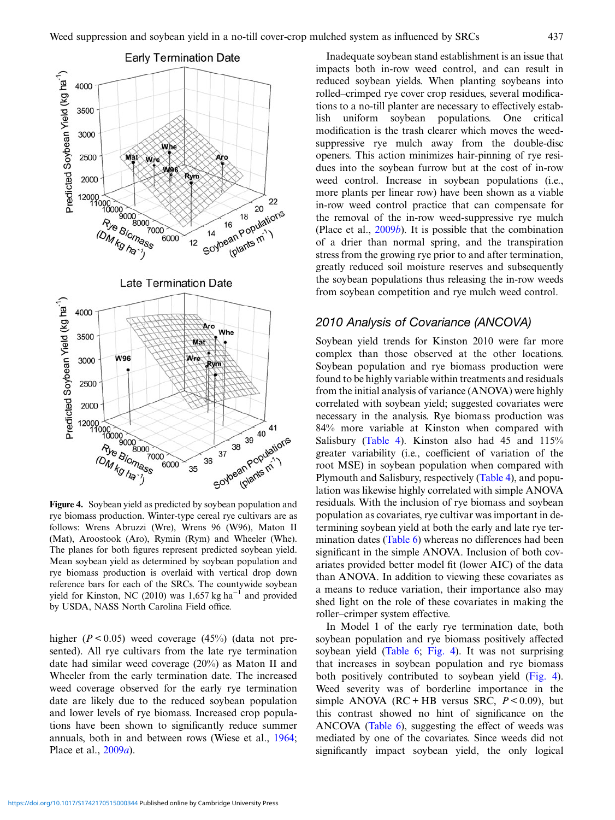<span id="page-8-0"></span>

Figure 4. Soybean yield as predicted by soybean population and rye biomass production. Winter-type cereal rye cultivars are as follows: Wrens Abruzzi (Wre), Wrens 96 (W96), Maton II (Mat), Aroostook (Aro), Rymin (Rym) and Wheeler (Whe). The planes for both figures represent predicted soybean yield. Mean soybean yield as determined by soybean population and rye biomass production is overlaid with vertical drop down reference bars for each of the SRCs. The countywide soybean yield for Kinston, NC (2010) was 1,657 kg ha−<sup>1</sup> and provided by USDA, NASS North Carolina Field office.

higher  $(P < 0.05)$  weed coverage  $(45%)$  (data not presented). All rye cultivars from the late rye termination date had similar weed coverage (20%) as Maton II and Wheeler from the early termination date. The increased weed coverage observed for the early rye termination date are likely due to the reduced soybean population and lower levels of rye biomass. Increased crop populations have been shown to significantly reduce summer annuals, both in and between rows (Wiese et al., [1964](#page-11-0); Place et al., [2009](#page-10-0)a).

Inadequate soybean stand establishment is an issue that impacts both in-row weed control, and can result in reduced soybean yields. When planting soybeans into rolled–crimped rye cover crop residues, several modifications to a no-till planter are necessary to effectively establish uniform soybean populations. One critical modification is the trash clearer which moves the weedsuppressive rye mulch away from the double-disc openers. This action minimizes hair-pinning of rye residues into the soybean furrow but at the cost of in-row weed control. Increase in soybean populations (i.e., more plants per linear row) have been shown as a viable in-row weed control practice that can compensate for the removal of the in-row weed-suppressive rye mulch (Place et al.,  $2009b$  $2009b$ ). It is possible that the combination of a drier than normal spring, and the transpiration stress from the growing rye prior to and after termination, greatly reduced soil moisture reserves and subsequently the soybean populations thus releasing the in-row weeds from soybean competition and rye mulch weed control.

### 2010 Analysis of Covariance (ANCOVA)

Soybean yield trends for Kinston 2010 were far more complex than those observed at the other locations. Soybean population and rye biomass production were found to be highly variable within treatments and residuals from the initial analysis of variance (ANOVA) were highly correlated with soybean yield; suggested covariates were necessary in the analysis. Rye biomass production was 84% more variable at Kinston when compared with Salisbury [\(Table 4](#page-5-0)). Kinston also had 45 and 115% greater variability (i.e., coefficient of variation of the root MSE) in soybean population when compared with Plymouth and Salisbury, respectively ([Table 4\)](#page-5-0), and population was likewise highly correlated with simple ANOVA residuals. With the inclusion of rye biomass and soybean population as covariates, rye cultivar was important in determining soybean yield at both the early and late rye ter-mination dates [\(Table 6\)](#page-9-0) whereas no differences had been significant in the simple ANOVA. Inclusion of both covariates provided better model fit (lower AIC) of the data than ANOVA. In addition to viewing these covariates as a means to reduce variation, their importance also may shed light on the role of these covariates in making the roller–crimper system effective.

In Model 1 of the early rye termination date, both soybean population and rye biomass positively affected soybean yield [\(Table 6](#page-9-0); Fig. 4). It was not surprising that increases in soybean population and rye biomass both positively contributed to soybean yield (Fig. 4). Weed severity was of borderline importance in the simple ANOVA ( $RC + HB$  versus SRC,  $P < 0.09$ ), but this contrast showed no hint of significance on the ANCOVA ([Table 6](#page-9-0)), suggesting the effect of weeds was mediated by one of the covariates. Since weeds did not significantly impact soybean yield, the only logical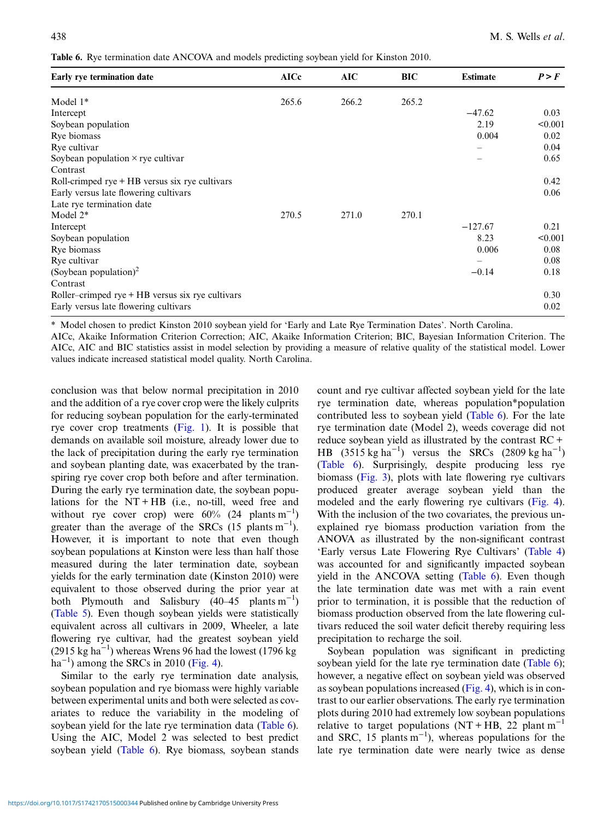| <b>Early rye termination date</b>                         | <b>AICc</b> | AIC   | <b>BIC</b> | <b>Estimate</b> | P > F   |
|-----------------------------------------------------------|-------------|-------|------------|-----------------|---------|
| Model 1*                                                  | 265.6       | 266.2 | 265.2      |                 |         |
| Intercept                                                 |             |       |            | $-47.62$        | 0.03    |
| Soybean population                                        |             |       |            | 2.19            | < 0.001 |
| Rye biomass                                               |             |       |            | 0.004           | 0.02    |
| Rye cultivar                                              |             |       |            |                 | 0.04    |
| Soybean population $\times$ rye cultivar                  |             |       |            |                 | 0.65    |
| Contrast                                                  |             |       |            |                 |         |
| Roll-crimped $\Gamma$ rye + HB versus six rye cultivars   |             |       |            |                 | 0.42    |
| Early versus late flowering cultivars                     |             |       |            |                 | 0.06    |
| Late rye termination date                                 |             |       |            |                 |         |
| Model 2*                                                  | 270.5       | 271.0 | 270.1      |                 |         |
| Intercept                                                 |             |       |            | $-127.67$       | 0.21    |
| Soybean population                                        |             |       |            | 8.23            | < 0.001 |
| Rye biomass                                               |             |       |            | 0.006           | 0.08    |
| Rye cultivar                                              |             |       |            |                 | 0.08    |
| (Soybean population) <sup>2</sup>                         |             |       |            | $-0.14$         | 0.18    |
| Contrast                                                  |             |       |            |                 |         |
| Roller–crimped $\Gamma$ rye + HB versus six rye cultivars |             |       |            |                 | 0.30    |
| Early versus late flowering cultivars                     |             |       |            |                 | 0.02    |
|                                                           |             |       |            |                 |         |

<span id="page-9-0"></span>Table 6. Rye termination date ANCOVA and models predicting soybean yield for Kinston 2010.

Model chosen to predict Kinston 2010 soybean yield for 'Early and Late Rye Termination Dates'. North Carolina.

AICc, Akaike Information Criterion Correction; AIC, Akaike Information Criterion; BIC, Bayesian Information Criterion. The AICc, AIC and BIC statistics assist in model selection by providing a measure of relative quality of the statistical model. Lower values indicate increased statistical model quality. North Carolina.

conclusion was that below normal precipitation in 2010 and the addition of a rye cover crop were the likely culprits for reducing soybean population for the early-terminated rye cover crop treatments ([Fig. 1\)](#page-2-0). It is possible that demands on available soil moisture, already lower due to the lack of precipitation during the early rye termination and soybean planting date, was exacerbated by the transpiring rye cover crop both before and after termination. During the early rye termination date, the soybean populations for the  $NT + HB$  (i.e., no-till, weed free and without rye cover crop) were  $60\%$  (24 plants m<sup>-1</sup>) greater than the average of the SRCs (15 plants  $m^{-1}$ ). However, it is important to note that even though soybean populations at Kinston were less than half those measured during the later termination date, soybean yields for the early termination date (Kinston 2010) were equivalent to those observed during the prior year at both Plymouth and Salisbury  $(40-45 \text{ plants m}^{-1})$ ([Table 5](#page-7-0)). Even though soybean yields were statistically equivalent across all cultivars in 2009, Wheeler, a late flowering rye cultivar, had the greatest soybean yield (2915 kg ha−<sup>1</sup> ) whereas Wrens 96 had the lowest (1796 kg  $ha^{-1}$ ) among the SRCs in 2010 ([Fig. 4](#page-8-0)).

Similar to the early rye termination date analysis, soybean population and rye biomass were highly variable between experimental units and both were selected as covariates to reduce the variability in the modeling of soybean yield for the late rye termination data (Table 6). Using the AIC, Model 2 was selected to best predict soybean yield (Table 6). Rye biomass, soybean stands count and rye cultivar affected soybean yield for the late rye termination date, whereas population\*population contributed less to soybean yield (Table 6). For the late rye termination date (Model 2), weeds coverage did not reduce soybean yield as illustrated by the contrast RC + HB  $(3515 \text{ kg ha}^{-1})$  versus the SRCs  $(2809 \text{ kg ha}^{-1})$ (Table 6). Surprisingly, despite producing less rye biomass ([Fig. 3](#page-7-0)), plots with late flowering rye cultivars produced greater average soybean yield than the modeled and the early flowering rye cultivars ([Fig. 4](#page-8-0)). With the inclusion of the two covariates, the previous unexplained rye biomass production variation from the ANOVA as illustrated by the non-significant contrast 'Early versus Late Flowering Rye Cultivars' [\(Table 4](#page-5-0)) was accounted for and significantly impacted soybean yield in the ANCOVA setting (Table 6). Even though the late termination date was met with a rain event prior to termination, it is possible that the reduction of biomass production observed from the late flowering cultivars reduced the soil water deficit thereby requiring less precipitation to recharge the soil.

Soybean population was significant in predicting soybean yield for the late rye termination date (Table 6); however, a negative effect on soybean yield was observed as soybean populations increased ([Fig. 4\)](#page-8-0), which is in contrast to our earlier observations. The early rye termination plots during 2010 had extremely low soybean populations relative to target populations (NT + HB, 22 plant  $m^{-1}$ and SRC, 15 plants m−<sup>1</sup> ), whereas populations for the late rye termination date were nearly twice as dense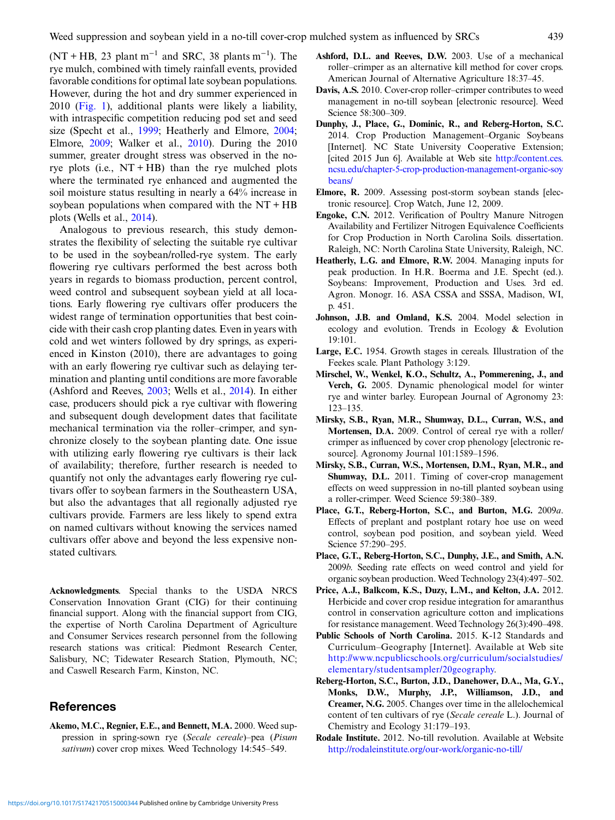<span id="page-10-0"></span> $(NT + HB, 23$  plant m<sup>-1</sup> and SRC, 38 plants m<sup>-1</sup>). The rye mulch, combined with timely rainfall events, provided favorable conditions for optimal late soybean populations. However, during the hot and dry summer experienced in 2010 [\(Fig. 1](#page-2-0)), additional plants were likely a liability, with intraspecific competition reducing pod set and seed size (Specht et al., [1999;](#page-11-0) Heatherly and Elmore, 2004; Elmore, 2009; Walker et al., [2010\)](#page-11-0). During the 2010 summer, greater drought stress was observed in the norye plots (i.e.,  $NT + HB$ ) than the rye mulched plots where the terminated rye enhanced and augmented the soil moisture status resulting in nearly a 64% increase in soybean populations when compared with the  $NT + HB$ plots (Wells et al., [2014\)](#page-11-0).

Analogous to previous research, this study demonstrates the flexibility of selecting the suitable rye cultivar to be used in the soybean/rolled-rye system. The early flowering rye cultivars performed the best across both years in regards to biomass production, percent control, weed control and subsequent soybean yield at all locations. Early flowering rye cultivars offer producers the widest range of termination opportunities that best coincide with their cash crop planting dates. Even in years with cold and wet winters followed by dry springs, as experienced in Kinston (2010), there are advantages to going with an early flowering rye cultivar such as delaying termination and planting until conditions are more favorable (Ashford and Reeves, 2003; Wells et al., [2014](#page-11-0)). In either case, producers should pick a rye cultivar with flowering and subsequent dough development dates that facilitate mechanical termination via the roller–crimper, and synchronize closely to the soybean planting date. One issue with utilizing early flowering rye cultivars is their lack of availability; therefore, further research is needed to quantify not only the advantages early flowering rye cultivars offer to soybean farmers in the Southeastern USA, but also the advantages that all regionally adjusted rye cultivars provide. Farmers are less likely to spend extra on named cultivars without knowing the services named cultivars offer above and beyond the less expensive nonstated cultivars.

Acknowledgments. Special thanks to the USDA NRCS Conservation Innovation Grant (CIG) for their continuing financial support. Along with the financial support from CIG, the expertise of North Carolina Department of Agriculture and Consumer Services research personnel from the following research stations was critical: Piedmont Research Center, Salisbury, NC; Tidewater Research Station, Plymouth, NC; and Caswell Research Farm, Kinston, NC.

#### References

Akemo, M.C., Regnier, E.E., and Bennett, M.A. 2000. Weed suppression in spring-sown rye (Secale cereale)–pea (Pisum sativum) cover crop mixes. Weed Technology 14:545–549.

- Ashford, D.L. and Reeves, D.W. 2003. Use of a mechanical roller–crimper as an alternative kill method for cover crops. American Journal of Alternative Agriculture 18:37–45.
- Davis, A.S. 2010. Cover-crop roller–crimper contributes to weed management in no-till soybean [electronic resource]. Weed Science 58:300–309.
- Dunphy, J., Place, G., Dominic, R., and Reberg-Horton, S.C. 2014. Crop Production Management–Organic Soybeans [Internet]. NC State University Cooperative Extension; [cited 2015 Jun 6]. Available at Web site [http://content.ces.](http://content.ces.ncsu.edu/chapter-5-crop-production-management-organic-soybeans/) [ncsu.edu/chapter-5-crop-production-management-organic-soy](http://content.ces.ncsu.edu/chapter-5-crop-production-management-organic-soybeans/) [beans/](http://content.ces.ncsu.edu/chapter-5-crop-production-management-organic-soybeans/)
- Elmore, R. 2009. Assessing post-storm soybean stands [electronic resource]. Crop Watch, June 12, 2009.
- Engoke, C.N. 2012. Verification of Poultry Manure Nitrogen Availability and Fertilizer Nitrogen Equivalence Coefficients for Crop Production in North Carolina Soils. dissertation. Raleigh, NC: North Carolina State University, Raleigh, NC.
- Heatherly, L.G. and Elmore, R.W. 2004. Managing inputs for peak production. In H.R. Boerma and J.E. Specht (ed.). Soybeans: Improvement, Production and Uses. 3rd ed. Agron. Monogr. 16. ASA CSSA and SSSA, Madison, WI, p. 451.
- Johnson, J.B. and Omland, K.S. 2004. Model selection in ecology and evolution. Trends in Ecology & Evolution 19:101.
- Large, E.C. 1954. Growth stages in cereals. Illustration of the Feekes scale. Plant Pathology 3:129.
- Mirschel, W., Wenkel, K.O., Schultz, A., Pommerening, J., and Verch, G. 2005. Dynamic phenological model for winter rye and winter barley. European Journal of Agronomy 23: 123–135.
- Mirsky, S.B., Ryan, M.R., Shumway, D.L., Curran, W.S., and Mortensen, D.A. 2009. Control of cereal rye with a roller/ crimper as influenced by cover crop phenology [electronic resource]. Agronomy Journal 101:1589–1596.
- Mirsky, S.B., Curran, W.S., Mortensen, D.M., Ryan, M.R., and Shumway, D.L. 2011. Timing of cover-crop management effects on weed suppression in no-till planted soybean using a roller-crimper. Weed Science 59:380–389.
- Place, G.T., Reberg-Horton, S.C., and Burton, M.G. 2009a. Effects of preplant and postplant rotary hoe use on weed control, soybean pod position, and soybean yield. Weed Science 57:290–295.
- Place, G.T., Reberg-Horton, S.C., Dunphy, J.E., and Smith, A.N. 2009b. Seeding rate effects on weed control and yield for organic soybean production. Weed Technology 23(4):497–502.
- Price, A.J., Balkcom, K.S., Duzy, L.M., and Kelton, J.A. 2012. Herbicide and cover crop residue integration for amaranthus control in conservation agriculture cotton and implications for resistance management. Weed Technology 26(3):490–498.
- Public Schools of North Carolina. 2015. K-12 Standards and Curriculum–Geography [Internet]. Available at Web site [http://www.ncpublicschools.org/curriculum/socialstudies/](http://www.ncpublicschools.org/curriculum/socialstudies/elementary/studentsampler/20geography) [elementary/studentsampler/20geography.](http://www.ncpublicschools.org/curriculum/socialstudies/elementary/studentsampler/20geography)
- Reberg-Horton, S.C., Burton, J.D., Danehower, D.A., Ma, G.Y., Monks, D.W., Murphy, J.P., Williamson, J.D., and Creamer, N.G. 2005. Changes over time in the allelochemical content of ten cultivars of rye (Secale cereale L.). Journal of Chemistry and Ecology 31:179–193.
- Rodale Institute. 2012. No-till revolution. Available at Website <http://rodaleinstitute.org/our-work/organic-no-till/>